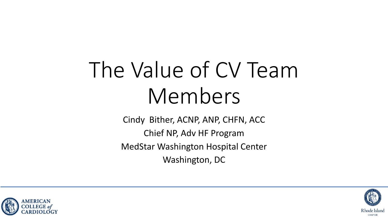# The Value of CV Team Members

Cindy Bither, ACNP, ANP, CHFN, ACC Chief NP, Adv HF Program MedStar Washington Hospital Center Washington, DC



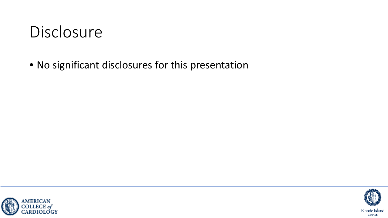#### Disclosure

• No significant disclosures for this presentation



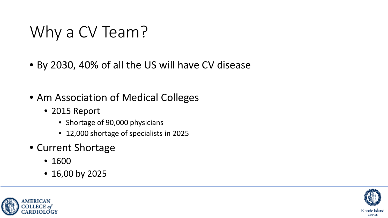### Why a CV Team?

- By 2030, 40% of all the US will have CV disease
- Am Association of Medical Colleges
	- 2015 Report
		- Shortage of 90,000 physicians
		- 12,000 shortage of specialists in 2025
- Current Shortage
	- 1600
	- 16,00 by 2025



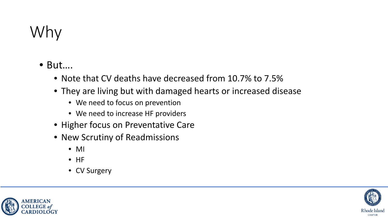## Why

- But….
	- Note that CV deaths have decreased from 10.7% to 7.5%
	- They are living but with damaged hearts or increased disease
		- We need to focus on prevention
		- We need to increase HF providers
	- Higher focus on Preventative Care
	- New Scrutiny of Readmissions
		- MI
		- HF
		- CV Surgery



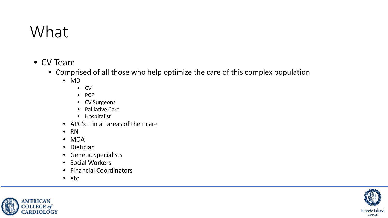### What

- CV Team
	- Comprised of all those who help optimize the care of this complex population
		- MD
			- CV
			- PCP
			- CV Surgeons
			- Palliative Care
			- Hospitalist
		- APC's in all areas of their care
		- RN
		- MOA
		- Dietician
		- Genetic Specialists
		- Social Workers
		- Financial Coordinators
		- etc



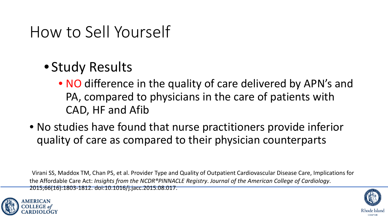#### How to Sell Yourself

- Study Results
	- NO difference in the quality of care delivered by APN's and PA, compared to physicians in the care of patients with CAD, HF and Afib
- No studies have found that nurse practitioners provide inferior quality of care as compared to their physician counterparts

Virani SS, Maddox TM, Chan PS, et al. Provider Type and Quality of Outpatient Cardiovascular Disease Care, Implications for the Affordable Care Act: *Insights from the NCDR®PINNACLE Registry*. *Journal of the American College of Cardiology*. 2015;66(16):1803-1812. doi:10.1016/j.jacc.2015.08.017.



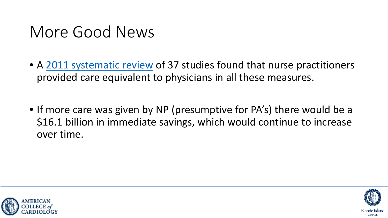#### More Good News

- A [2011 systematic review](https://www.nursingeconomics.net/ce/2013/article3001021.pdf) of 37 studies found that nurse practitioners provided care equivalent to physicians in all these measures.
- If more care was given by NP (presumptive for PA's) there would be a \$16.1 billion in immediate savings, which would continue to increase over time.



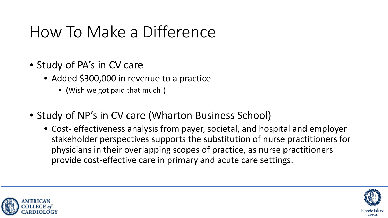### How To Make a Difference

- Study of PA's in CV care
	- Added \$300,000 in revenue to a practice
		- (Wish we got paid that much!)
- Study of NP's in CV care (Wharton Business School)
	- Cost- effectiveness analysis from payer, societal, and hospital and employer stakeholder perspectives supports the substitution of nurse practitioners for physicians in their overlapping scopes of practice, as nurse practitioners provide cost-effective care in primary and acute care settings.



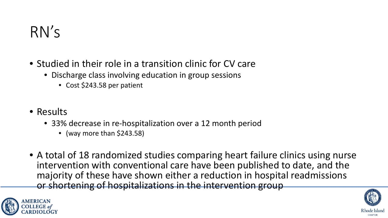#### RN's

- Studied in their role in a transition clinic for CV care
	- Discharge class involving education in group sessions
		- Cost \$243.58 per patient
- Results
	- 33% decrease in re-hospitalization over a 12 month period
		- (way more than \$243.58)
- A total of 18 randomized studies comparing heart failure clinics using nurse intervention with conventional care have been published to date, and the majority of these have shown either a reduction in hospital readmissions or shortening of hospitalizations in the intervention group



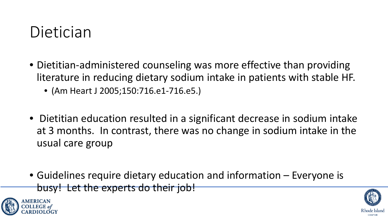#### Dietician

- Dietitian-administered counseling was more effective than providing literature in reducing dietary sodium intake in patients with stable HF.
	- (Am Heart J 2005;150:716.e1-716.e5.)
- Dietitian education resulted in a significant decrease in sodium intake at 3 months. In contrast, there was no change in sodium intake in the usual care group
- Guidelines require dietary education and information Everyone is busy! Let the experts do their job!



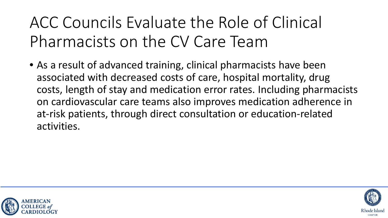ACC Councils Evaluate the Role of Clinical Pharmacists on the CV Care Team

• As a result of advanced training, clinical pharmacists have been associated with decreased costs of care, hospital mortality, drug costs, length of stay and medication error rates. Including pharmacists on cardiovascular care teams also improves medication adherence in at-risk patients, through direct consultation or education-related activities.



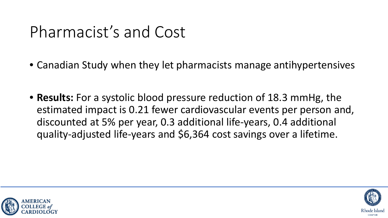#### Pharmacist's and Cost

- Canadian Study when they let pharmacists manage antihypertensives
- **Results:** For a systolic blood pressure reduction of 18.3 mmHg, the estimated impact is 0.21 fewer cardiovascular events per person and, discounted at 5% per year, 0.3 additional life-years, 0.4 additional quality-adjusted life-years and \$6,364 cost savings over a lifetime.



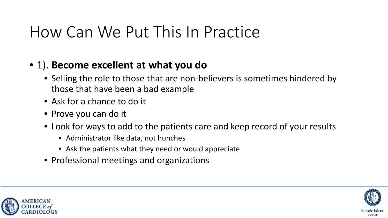#### How Can We Put This In Practice

#### • 1). **Become excellent at what you do**

- Selling the role to those that are non-believers is sometimes hindered by those that have been a bad example
- Ask for a chance to do it
- Prove you can do it
- Look for ways to add to the patients care and keep record of your results
	- Administrator like data, not hunches
	- Ask the patients what they need or would appreciate
- Professional meetings and organizations





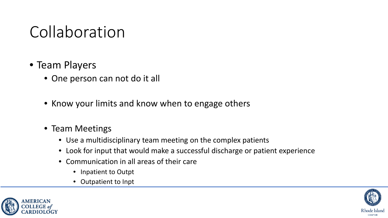#### Collaboration

- Team Players
	- One person can not do it all
	- Know your limits and know when to engage others
	- Team Meetings
		- Use a multidisciplinary team meeting on the complex patients
		- Look for input that would make a successful discharge or patient experience
		- Communication in all areas of their care
			- Inpatient to Outpt
			- Outpatient to Inpt



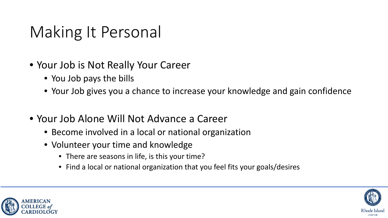### Making It Personal

- Your Job is Not Really Your Career
	- You Job pays the bills
	- Your Job gives you a chance to increase your knowledge and gain confidence
- Your Job Alone Will Not Advance a Career
	- Become involved in a local or national organization
	- Volunteer your time and knowledge
		- There are seasons in life, is this your time?
		- Find a local or national organization that you feel fits your goals/desires



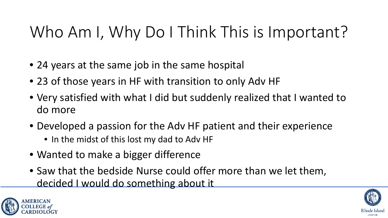### Who Am I, Why Do I Think This is Important?

- 24 years at the same job in the same hospital
- 23 of those years in HF with transition to only Adv HF
- Very satisfied with what I did but suddenly realized that I wanted to do more
- Developed a passion for the Adv HF patient and their experience
	- In the midst of this lost my dad to Adv HF
- Wanted to make a bigger difference
- Saw that the bedside Nurse could offer more than we let them, decided I would do something about it



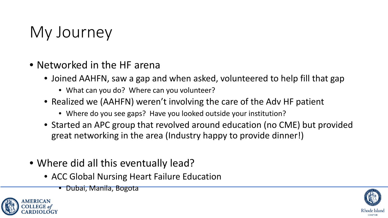### My Journey

- Networked in the HF arena
	- Joined AAHFN, saw a gap and when asked, volunteered to help fill that gap
		- What can you do? Where can you volunteer?
	- Realized we (AAHFN) weren't involving the care of the Adv HF patient
		- Where do you see gaps? Have you looked outside your institution?
	- Started an APC group that revolved around education (no CME) but provided great networking in the area (Industry happy to provide dinner!)
- Where did all this eventually lead?
	- ACC Global Nursing Heart Failure Education
		- Dubai, Manila, Bogota